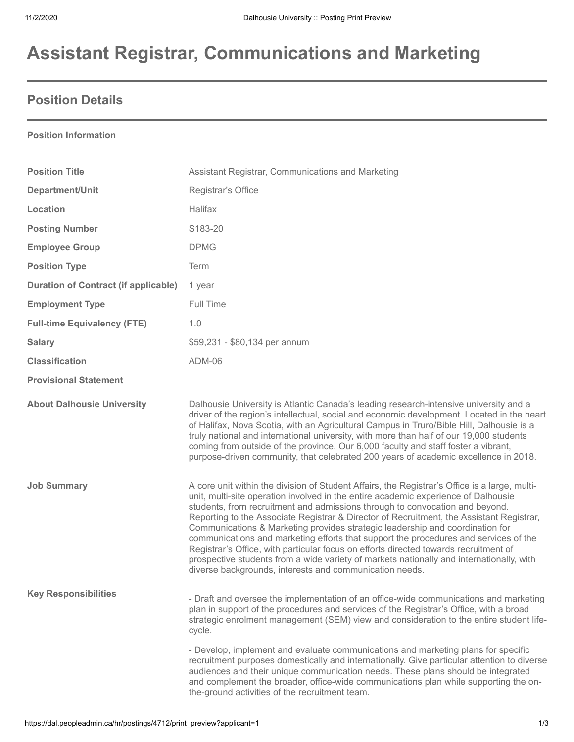# **Assistant Registrar, Communications and Marketing**

### **Position Details**

#### **Position Information**

| <b>Position Title</b>                       | Assistant Registrar, Communications and Marketing                                                                                                                                                                                                                                                                                                                                                                                                                                                                                                                                                                                                                                                                                                                                       |
|---------------------------------------------|-----------------------------------------------------------------------------------------------------------------------------------------------------------------------------------------------------------------------------------------------------------------------------------------------------------------------------------------------------------------------------------------------------------------------------------------------------------------------------------------------------------------------------------------------------------------------------------------------------------------------------------------------------------------------------------------------------------------------------------------------------------------------------------------|
| Department/Unit                             | Registrar's Office                                                                                                                                                                                                                                                                                                                                                                                                                                                                                                                                                                                                                                                                                                                                                                      |
| Location                                    | Halifax                                                                                                                                                                                                                                                                                                                                                                                                                                                                                                                                                                                                                                                                                                                                                                                 |
| <b>Posting Number</b>                       | S183-20                                                                                                                                                                                                                                                                                                                                                                                                                                                                                                                                                                                                                                                                                                                                                                                 |
| <b>Employee Group</b>                       | <b>DPMG</b>                                                                                                                                                                                                                                                                                                                                                                                                                                                                                                                                                                                                                                                                                                                                                                             |
| <b>Position Type</b>                        | <b>Term</b>                                                                                                                                                                                                                                                                                                                                                                                                                                                                                                                                                                                                                                                                                                                                                                             |
| <b>Duration of Contract (if applicable)</b> | 1 year                                                                                                                                                                                                                                                                                                                                                                                                                                                                                                                                                                                                                                                                                                                                                                                  |
| <b>Employment Type</b>                      | Full Time                                                                                                                                                                                                                                                                                                                                                                                                                                                                                                                                                                                                                                                                                                                                                                               |
| <b>Full-time Equivalency (FTE)</b>          | 1.0                                                                                                                                                                                                                                                                                                                                                                                                                                                                                                                                                                                                                                                                                                                                                                                     |
| <b>Salary</b>                               | \$59,231 - \$80,134 per annum                                                                                                                                                                                                                                                                                                                                                                                                                                                                                                                                                                                                                                                                                                                                                           |
| <b>Classification</b>                       | ADM-06                                                                                                                                                                                                                                                                                                                                                                                                                                                                                                                                                                                                                                                                                                                                                                                  |
| <b>Provisional Statement</b>                |                                                                                                                                                                                                                                                                                                                                                                                                                                                                                                                                                                                                                                                                                                                                                                                         |
| <b>About Dalhousie University</b>           | Dalhousie University is Atlantic Canada's leading research-intensive university and a<br>driver of the region's intellectual, social and economic development. Located in the heart<br>of Halifax, Nova Scotia, with an Agricultural Campus in Truro/Bible Hill, Dalhousie is a<br>truly national and international university, with more than half of our 19,000 students<br>coming from outside of the province. Our 6,000 faculty and staff foster a vibrant,<br>purpose-driven community, that celebrated 200 years of academic excellence in 2018.                                                                                                                                                                                                                                 |
| <b>Job Summary</b>                          | A core unit within the division of Student Affairs, the Registrar's Office is a large, multi-<br>unit, multi-site operation involved in the entire academic experience of Dalhousie<br>students, from recruitment and admissions through to convocation and beyond.<br>Reporting to the Associate Registrar & Director of Recruitment, the Assistant Registrar,<br>Communications & Marketing provides strategic leadership and coordination for<br>communications and marketing efforts that support the procedures and services of the<br>Registrar's Office, with particular focus on efforts directed towards recruitment of<br>prospective students from a wide variety of markets nationally and internationally, with<br>diverse backgrounds, interests and communication needs. |
| <b>Key Responsibilities</b>                 | - Draft and oversee the implementation of an office-wide communications and marketing<br>plan in support of the procedures and services of the Registrar's Office, with a broad<br>strategic enrolment management (SEM) view and consideration to the entire student life-<br>cycle.                                                                                                                                                                                                                                                                                                                                                                                                                                                                                                    |
|                                             | - Develop, implement and evaluate communications and marketing plans for specific<br>recruitment purposes domestically and internationally. Give particular attention to diverse<br>audiences and their unique communication needs. These plans should be integrated<br>and complement the broader, office-wide communications plan while supporting the on-<br>the-ground activities of the recruitment team.                                                                                                                                                                                                                                                                                                                                                                          |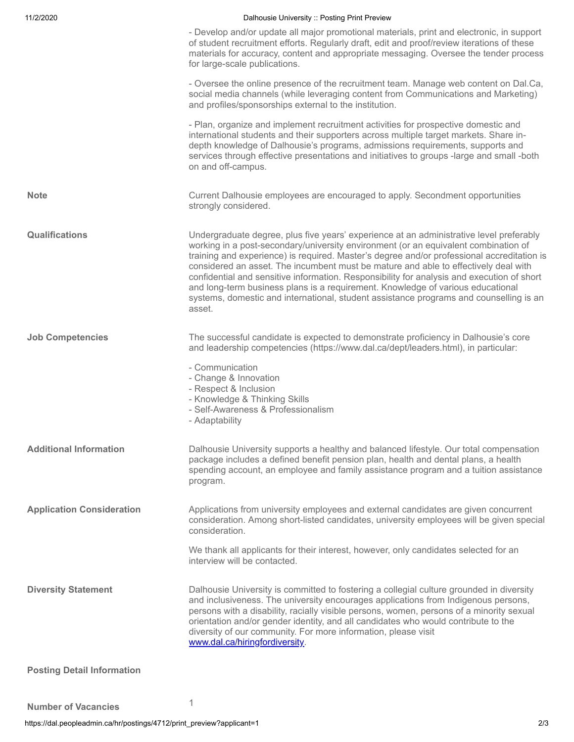| 11/2/2020                         | Dalhousie University :: Posting Print Preview                                                                                                                                                                                                                                                                                                                                                                                                                                                                                                                                                                                                            |
|-----------------------------------|----------------------------------------------------------------------------------------------------------------------------------------------------------------------------------------------------------------------------------------------------------------------------------------------------------------------------------------------------------------------------------------------------------------------------------------------------------------------------------------------------------------------------------------------------------------------------------------------------------------------------------------------------------|
|                                   | - Develop and/or update all major promotional materials, print and electronic, in support<br>of student recruitment efforts. Regularly draft, edit and proof/review iterations of these<br>materials for accuracy, content and appropriate messaging. Oversee the tender process<br>for large-scale publications.                                                                                                                                                                                                                                                                                                                                        |
|                                   | - Oversee the online presence of the recruitment team. Manage web content on Dal.Ca,<br>social media channels (while leveraging content from Communications and Marketing)<br>and profiles/sponsorships external to the institution.                                                                                                                                                                                                                                                                                                                                                                                                                     |
|                                   | - Plan, organize and implement recruitment activities for prospective domestic and<br>international students and their supporters across multiple target markets. Share in-<br>depth knowledge of Dalhousie's programs, admissions requirements, supports and<br>services through effective presentations and initiatives to groups -large and small -both<br>on and off-campus.                                                                                                                                                                                                                                                                         |
| <b>Note</b>                       | Current Dalhousie employees are encouraged to apply. Secondment opportunities<br>strongly considered.                                                                                                                                                                                                                                                                                                                                                                                                                                                                                                                                                    |
| Qualifications                    | Undergraduate degree, plus five years' experience at an administrative level preferably<br>working in a post-secondary/university environment (or an equivalent combination of<br>training and experience) is required. Master's degree and/or professional accreditation is<br>considered an asset. The incumbent must be mature and able to effectively deal with<br>confidential and sensitive information. Responsibility for analysis and execution of short<br>and long-term business plans is a requirement. Knowledge of various educational<br>systems, domestic and international, student assistance programs and counselling is an<br>asset. |
| <b>Job Competencies</b>           | The successful candidate is expected to demonstrate proficiency in Dalhousie's core<br>and leadership competencies (https://www.dal.ca/dept/leaders.html), in particular:<br>- Communication<br>- Change & Innovation<br>- Respect & Inclusion<br>- Knowledge & Thinking Skills                                                                                                                                                                                                                                                                                                                                                                          |
|                                   | - Self-Awareness & Professionalism<br>- Adaptability                                                                                                                                                                                                                                                                                                                                                                                                                                                                                                                                                                                                     |
| <b>Additional Information</b>     | Dalhousie University supports a healthy and balanced lifestyle. Our total compensation<br>package includes a defined benefit pension plan, health and dental plans, a health<br>spending account, an employee and family assistance program and a tuition assistance<br>program.                                                                                                                                                                                                                                                                                                                                                                         |
| <b>Application Consideration</b>  | Applications from university employees and external candidates are given concurrent<br>consideration. Among short-listed candidates, university employees will be given special<br>consideration.                                                                                                                                                                                                                                                                                                                                                                                                                                                        |
|                                   | We thank all applicants for their interest, however, only candidates selected for an<br>interview will be contacted.                                                                                                                                                                                                                                                                                                                                                                                                                                                                                                                                     |
| <b>Diversity Statement</b>        | Dalhousie University is committed to fostering a collegial culture grounded in diversity<br>and inclusiveness. The university encourages applications from Indigenous persons,<br>persons with a disability, racially visible persons, women, persons of a minority sexual<br>orientation and/or gender identity, and all candidates who would contribute to the<br>diversity of our community. For more information, please visit<br>www.dal.ca/hiringfordiversity.                                                                                                                                                                                     |
| <b>Posting Detail Information</b> |                                                                                                                                                                                                                                                                                                                                                                                                                                                                                                                                                                                                                                                          |